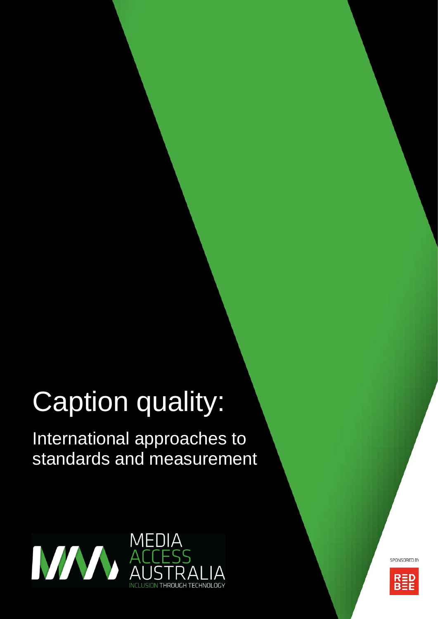# Caption quality:

International approaches to standards and measurement



SPONSORED BY

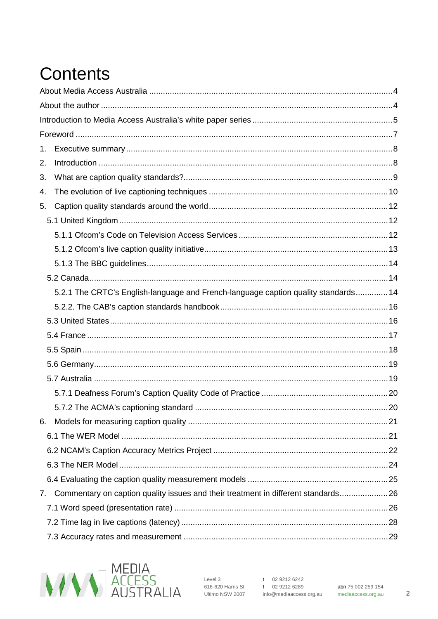# **Contents**

| 1. |                                                                                    |  |
|----|------------------------------------------------------------------------------------|--|
| 2. |                                                                                    |  |
| 3. |                                                                                    |  |
| 4. |                                                                                    |  |
| 5. |                                                                                    |  |
|    |                                                                                    |  |
|    |                                                                                    |  |
|    |                                                                                    |  |
|    |                                                                                    |  |
|    |                                                                                    |  |
|    | 5.2.1 The CRTC's English-language and French-language caption quality standards 14 |  |
|    |                                                                                    |  |
|    |                                                                                    |  |
|    |                                                                                    |  |
|    |                                                                                    |  |
|    |                                                                                    |  |
|    |                                                                                    |  |
|    |                                                                                    |  |
|    |                                                                                    |  |
| 6. |                                                                                    |  |
|    |                                                                                    |  |
|    |                                                                                    |  |
|    |                                                                                    |  |
|    |                                                                                    |  |
| 7. | Commentary on caption quality issues and their treatment in different standards 26 |  |
|    |                                                                                    |  |
|    |                                                                                    |  |
|    |                                                                                    |  |



 $\overline{2}$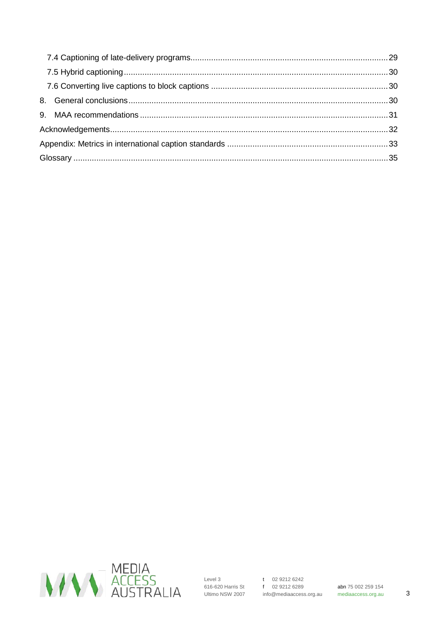

 $\mathbf{3}$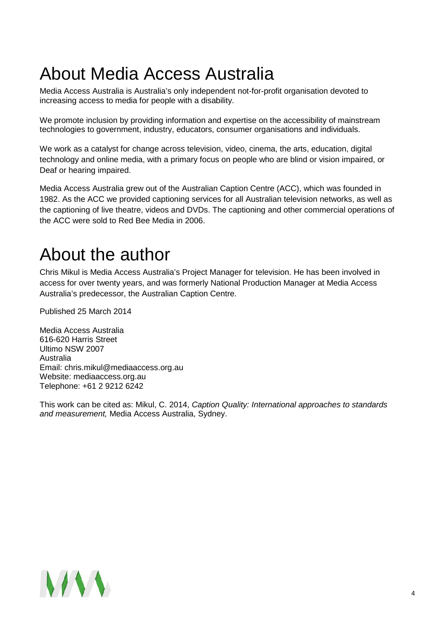# <span id="page-3-0"></span>About Media Access Australia

Media Access Australia is Australia's only independent not-for-profit organisation devoted to increasing access to media for people with a disability.

We promote inclusion by providing information and expertise on the accessibility of mainstream technologies to government, industry, educators, consumer organisations and individuals.

We work as a catalyst for change across television, video, cinema, the arts, education, digital technology and online media, with a primary focus on people who are blind or vision impaired, or Deaf or hearing impaired.

Media Access Australia grew out of the Australian Caption Centre (ACC), which was founded in 1982. As the ACC we provided captioning services for all Australian television networks, as well as the captioning of live theatre, videos and DVDs. The captioning and other commercial operations of the ACC were sold to Red Bee Media in 2006.

# <span id="page-3-1"></span>About the author

Chris Mikul is Media Access Australia's Project Manager for television. He has been involved in access for over twenty years, and was formerly National Production Manager at Media Access Australia's predecessor, the Australian Caption Centre.

Published 25 March 2014

Media Access Australia 616-620 Harris Street Ultimo NSW 2007 Australia Email: chris.mikul@mediaaccess.org.au Website: mediaaccess.org.au Telephone: +61 2 9212 6242

This work can be cited as: Mikul, C. 2014, *Caption Quality: International approaches to standards and measurement,* Media Access Australia, Sydney.

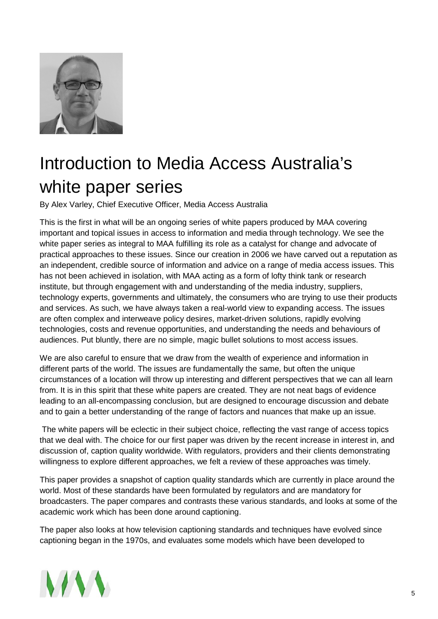

# <span id="page-4-0"></span>Introduction to Media Access Australia's white paper series

By Alex Varley, Chief Executive Officer, Media Access Australia

This is the first in what will be an ongoing series of white papers produced by MAA covering important and topical issues in access to information and media through technology. We see the white paper series as integral to MAA fulfilling its role as a catalyst for change and advocate of practical approaches to these issues. Since our creation in 2006 we have carved out a reputation as an independent, credible source of information and advice on a range of media access issues. This has not been achieved in isolation, with MAA acting as a form of lofty think tank or research institute, but through engagement with and understanding of the media industry, suppliers, technology experts, governments and ultimately, the consumers who are trying to use their products and services. As such, we have always taken a real-world view to expanding access. The issues are often complex and interweave policy desires, market-driven solutions, rapidly evolving technologies, costs and revenue opportunities, and understanding the needs and behaviours of audiences. Put bluntly, there are no simple, magic bullet solutions to most access issues.

We are also careful to ensure that we draw from the wealth of experience and information in different parts of the world. The issues are fundamentally the same, but often the unique circumstances of a location will throw up interesting and different perspectives that we can all learn from. It is in this spirit that these white papers are created. They are not neat bags of evidence leading to an all-encompassing conclusion, but are designed to encourage discussion and debate and to gain a better understanding of the range of factors and nuances that make up an issue.

The white papers will be eclectic in their subject choice, reflecting the vast range of access topics that we deal with. The choice for our first paper was driven by the recent increase in interest in, and discussion of, caption quality worldwide. With regulators, providers and their clients demonstrating willingness to explore different approaches, we felt a review of these approaches was timely.

This paper provides a snapshot of caption quality standards which are currently in place around the world. Most of these standards have been formulated by regulators and are mandatory for broadcasters. The paper compares and contrasts these various standards, and looks at some of the academic work which has been done around captioning.

The paper also looks at how television captioning standards and techniques have evolved since captioning began in the 1970s, and evaluates some models which have been developed to

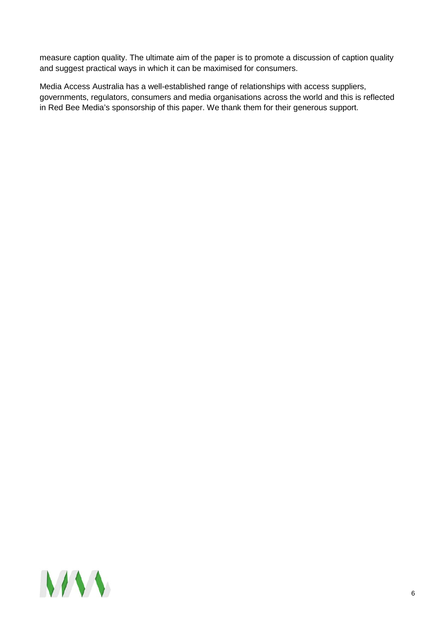measure caption quality. The ultimate aim of the paper is to promote a discussion of caption quality and suggest practical ways in which it can be maximised for consumers.

Media Access Australia has a well-established range of relationships with access suppliers, governments, regulators, consumers and media organisations across the world and this is reflected in Red Bee Media's sponsorship of this paper. We thank them for their generous support.

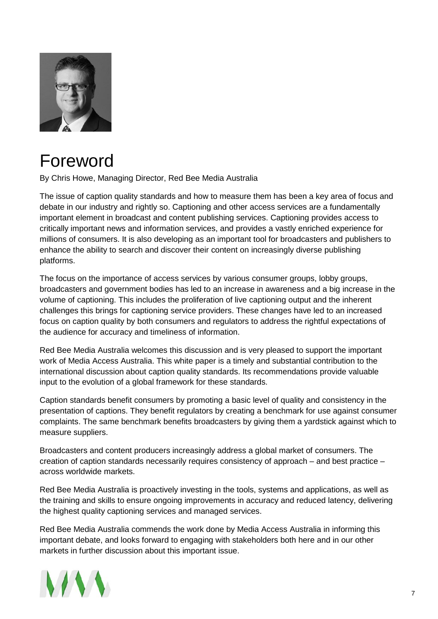

# <span id="page-6-0"></span>Foreword

By Chris Howe, Managing Director, Red Bee Media Australia

The issue of caption quality standards and how to measure them has been a key area of focus and debate in our industry and rightly so. Captioning and other access services are a fundamentally important element in broadcast and content publishing services. Captioning provides access to critically important news and information services, and provides a vastly enriched experience for millions of consumers. It is also developing as an important tool for broadcasters and publishers to enhance the ability to search and discover their content on increasingly diverse publishing platforms.

The focus on the importance of access services by various consumer groups, lobby groups, broadcasters and government bodies has led to an increase in awareness and a big increase in the volume of captioning. This includes the proliferation of live captioning output and the inherent challenges this brings for captioning service providers. These changes have led to an increased focus on caption quality by both consumers and regulators to address the rightful expectations of the audience for accuracy and timeliness of information.

Red Bee Media Australia welcomes this discussion and is very pleased to support the important work of Media Access Australia. This white paper is a timely and substantial contribution to the international discussion about caption quality standards. Its recommendations provide valuable input to the evolution of a global framework for these standards.

Caption standards benefit consumers by promoting a basic level of quality and consistency in the presentation of captions. They benefit regulators by creating a benchmark for use against consumer complaints. The same benchmark benefits broadcasters by giving them a yardstick against which to measure suppliers.

Broadcasters and content producers increasingly address a global market of consumers. The creation of caption standards necessarily requires consistency of approach – and best practice – across worldwide markets.

Red Bee Media Australia is proactively investing in the tools, systems and applications, as well as the training and skills to ensure ongoing improvements in accuracy and reduced latency, delivering the highest quality captioning services and managed services.

Red Bee Media Australia commends the work done by Media Access Australia in informing this important debate, and looks forward to engaging with stakeholders both here and in our other markets in further discussion about this important issue.

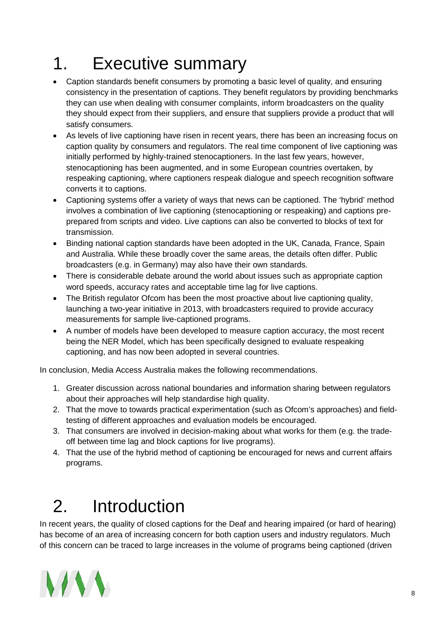# <span id="page-7-0"></span>1. Executive summary

- Caption standards benefit consumers by promoting a basic level of quality, and ensuring consistency in the presentation of captions. They benefit regulators by providing benchmarks they can use when dealing with consumer complaints, inform broadcasters on the quality they should expect from their suppliers, and ensure that suppliers provide a product that will satisfy consumers.
- As levels of live captioning have risen in recent years, there has been an increasing focus on caption quality by consumers and regulators. The real time component of live captioning was initially performed by highly-trained stenocaptioners. In the last few years, however, stenocaptioning has been augmented, and in some European countries overtaken, by respeaking captioning, where captioners respeak dialogue and speech recognition software converts it to captions.
- Captioning systems offer a variety of ways that news can be captioned. The 'hybrid' method involves a combination of live captioning (stenocaptioning or respeaking) and captions preprepared from scripts and video. Live captions can also be converted to blocks of text for transmission.
- Binding national caption standards have been adopted in the UK, Canada, France, Spain and Australia. While these broadly cover the same areas, the details often differ. Public broadcasters (e.g. in Germany) may also have their own standards.
- There is considerable debate around the world about issues such as appropriate caption word speeds, accuracy rates and acceptable time lag for live captions.
- The British regulator Ofcom has been the most proactive about live captioning quality, launching a two-year initiative in 2013, with broadcasters required to provide accuracy measurements for sample live-captioned programs.
- A number of models have been developed to measure caption accuracy, the most recent being the NER Model, which has been specifically designed to evaluate respeaking captioning, and has now been adopted in several countries.

In conclusion, Media Access Australia makes the following recommendations.

- 1. Greater discussion across national boundaries and information sharing between regulators about their approaches will help standardise high quality.
- 2. That the move to towards practical experimentation (such as Ofcom's approaches) and fieldtesting of different approaches and evaluation models be encouraged.
- 3. That consumers are involved in decision-making about what works for them (e.g. the tradeoff between time lag and block captions for live programs).
- 4. That the use of the hybrid method of captioning be encouraged for news and current affairs programs.

# <span id="page-7-1"></span>2. Introduction

In recent years, the quality of closed captions for the Deaf and hearing impaired (or hard of hearing) has become of an area of increasing concern for both caption users and industry regulators. Much of this concern can be traced to large increases in the volume of programs being captioned (driven

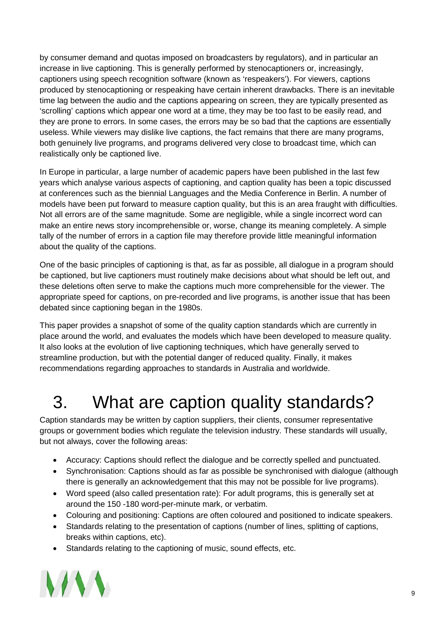by consumer demand and quotas imposed on broadcasters by regulators), and in particular an increase in live captioning. This is generally performed by stenocaptioners or, increasingly, captioners using speech recognition software (known as 'respeakers'). For viewers, captions produced by stenocaptioning or respeaking have certain inherent drawbacks. There is an inevitable time lag between the audio and the captions appearing on screen, they are typically presented as 'scrolling' captions which appear one word at a time, they may be too fast to be easily read, and they are prone to errors. In some cases, the errors may be so bad that the captions are essentially useless. While viewers may dislike live captions, the fact remains that there are many programs, both genuinely live programs, and programs delivered very close to broadcast time, which can realistically only be captioned live.

In Europe in particular, a large number of academic papers have been published in the last few years which analyse various aspects of captioning, and caption quality has been a topic discussed at conferences such as the biennial Languages and the Media Conference in Berlin. A number of models have been put forward to measure caption quality, but this is an area fraught with difficulties. Not all errors are of the same magnitude. Some are negligible, while a single incorrect word can make an entire news story incomprehensible or, worse, change its meaning completely. A simple tally of the number of errors in a caption file may therefore provide little meaningful information about the quality of the captions.

One of the basic principles of captioning is that, as far as possible, all dialogue in a program should be captioned, but live captioners must routinely make decisions about what should be left out, and these deletions often serve to make the captions much more comprehensible for the viewer. The appropriate speed for captions, on pre-recorded and live programs, is another issue that has been debated since captioning began in the 1980s.

This paper provides a snapshot of some of the quality caption standards which are currently in place around the world, and evaluates the models which have been developed to measure quality. It also looks at the evolution of live captioning techniques, which have generally served to streamline production, but with the potential danger of reduced quality. Finally, it makes recommendations regarding approaches to standards in Australia and worldwide.

# <span id="page-8-0"></span>3. What are caption quality standards?

Caption standards may be written by caption suppliers, their clients, consumer representative groups or government bodies which regulate the television industry. These standards will usually, but not always, cover the following areas:

- Accuracy: Captions should reflect the dialogue and be correctly spelled and punctuated.
- Synchronisation: Captions should as far as possible be synchronised with dialogue (although there is generally an acknowledgement that this may not be possible for live programs).
- Word speed (also called presentation rate): For adult programs, this is generally set at around the 150 -180 word-per-minute mark, or verbatim.
- Colouring and positioning: Captions are often coloured and positioned to indicate speakers.
- Standards relating to the presentation of captions (number of lines, splitting of captions, breaks within captions, etc).
- Standards relating to the captioning of music, sound effects, etc.

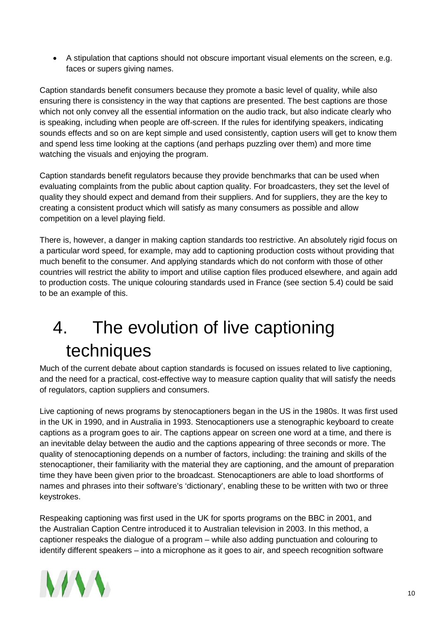• A stipulation that captions should not obscure important visual elements on the screen, e.g. faces or supers giving names.

Caption standards benefit consumers because they promote a basic level of quality, while also ensuring there is consistency in the way that captions are presented. The best captions are those which not only convey all the essential information on the audio track, but also indicate clearly who is speaking, including when people are off-screen. If the rules for identifying speakers, indicating sounds effects and so on are kept simple and used consistently, caption users will get to know them and spend less time looking at the captions (and perhaps puzzling over them) and more time watching the visuals and enjoying the program.

Caption standards benefit regulators because they provide benchmarks that can be used when evaluating complaints from the public about caption quality. For broadcasters, they set the level of quality they should expect and demand from their suppliers. And for suppliers, they are the key to creating a consistent product which will satisfy as many consumers as possible and allow competition on a level playing field.

There is, however, a danger in making caption standards too restrictive. An absolutely rigid focus on a particular word speed, for example, may add to captioning production costs without providing that much benefit to the consumer. And applying standards which do not conform with those of other countries will restrict the ability to import and utilise caption files produced elsewhere, and again add to production costs. The unique colouring standards used in France (see section 5.4) could be said to be an example of this.

# <span id="page-9-0"></span>4. The evolution of live captioning techniques

Much of the current debate about caption standards is focused on issues related to live captioning, and the need for a practical, cost-effective way to measure caption quality that will satisfy the needs of regulators, caption suppliers and consumers.

Live captioning of news programs by stenocaptioners began in the US in the 1980s. It was first used in the UK in 1990, and in Australia in 1993. Stenocaptioners use a stenographic keyboard to create captions as a program goes to air. The captions appear on screen one word at a time, and there is an inevitable delay between the audio and the captions appearing of three seconds or more. The quality of stenocaptioning depends on a number of factors, including: the training and skills of the stenocaptioner, their familiarity with the material they are captioning, and the amount of preparation time they have been given prior to the broadcast. Stenocaptioners are able to load shortforms of names and phrases into their software's 'dictionary', enabling these to be written with two or three keystrokes.

Respeaking captioning was first used in the UK for sports programs on the BBC in 2001, and the Australian Caption Centre introduced it to Australian television in 2003. In this method, a captioner respeaks the dialogue of a program – while also adding punctuation and colouring to identify different speakers – into a microphone as it goes to air, and speech recognition software

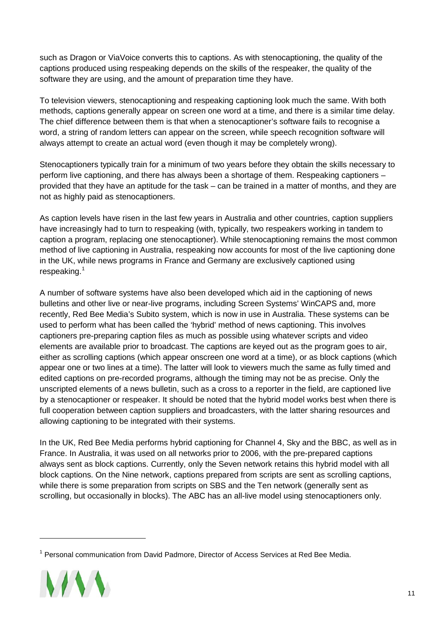such as Dragon or ViaVoice converts this to captions. As with stenocaptioning, the quality of the captions produced using respeaking depends on the skills of the respeaker, the quality of the software they are using, and the amount of preparation time they have.

To television viewers, stenocaptioning and respeaking captioning look much the same. With both methods, captions generally appear on screen one word at a time, and there is a similar time delay. The chief difference between them is that when a stenocaptioner's software fails to recognise a word, a string of random letters can appear on the screen, while speech recognition software will always attempt to create an actual word (even though it may be completely wrong).

Stenocaptioners typically train for a minimum of two years before they obtain the skills necessary to perform live captioning, and there has always been a shortage of them. Respeaking captioners – provided that they have an aptitude for the task – can be trained in a matter of months, and they are not as highly paid as stenocaptioners.

As caption levels have risen in the last few years in Australia and other countries, caption suppliers have increasingly had to turn to respeaking (with, typically, two respeakers working in tandem to caption a program, replacing one stenocaptioner). While stenocaptioning remains the most common method of live captioning in Australia, respeaking now accounts for most of the live captioning done in the UK, while news programs in France and Germany are exclusively captioned using respeaking. [1](#page-10-0)

A number of software systems have also been developed which aid in the captioning of news bulletins and other live or near-live programs, including Screen Systems' WinCAPS and, more recently, Red Bee Media's Subito system, which is now in use in Australia. These systems can be used to perform what has been called the 'hybrid' method of news captioning. This involves captioners pre-preparing caption files as much as possible using whatever scripts and video elements are available prior to broadcast. The captions are keyed out as the program goes to air, either as scrolling captions (which appear onscreen one word at a time), or as block captions (which appear one or two lines at a time). The latter will look to viewers much the same as fully timed and edited captions on pre-recorded programs, although the timing may not be as precise. Only the unscripted elements of a news bulletin, such as a cross to a reporter in the field, are captioned live by a stenocaptioner or respeaker. It should be noted that the hybrid model works best when there is full cooperation between caption suppliers and broadcasters, with the latter sharing resources and allowing captioning to be integrated with their systems.

In the UK, Red Bee Media performs hybrid captioning for Channel 4, Sky and the BBC, as well as in France. In Australia, it was used on all networks prior to 2006, with the pre-prepared captions always sent as block captions. Currently, only the Seven network retains this hybrid model with all block captions. On the Nine network, captions prepared from scripts are sent as scrolling captions, while there is some preparation from scripts on SBS and the Ten network (generally sent as scrolling, but occasionally in blocks). The ABC has an all-live model using stenocaptioners only.

<span id="page-10-0"></span> $1$  Personal communication from David Padmore, Director of Access Services at Red Bee Media.

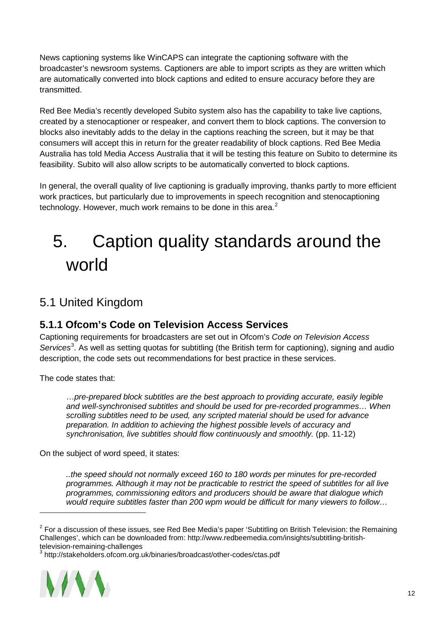News captioning systems like WinCAPS can integrate the captioning software with the broadcaster's newsroom systems. Captioners are able to import scripts as they are written which are automatically converted into block captions and edited to ensure accuracy before they are transmitted.

Red Bee Media's recently developed Subito system also has the capability to take live captions, created by a stenocaptioner or respeaker, and convert them to block captions. The conversion to blocks also inevitably adds to the delay in the captions reaching the screen, but it may be that consumers will accept this in return for the greater readability of block captions. Red Bee Media Australia has told Media Access Australia that it will be testing this feature on Subito to determine its feasibility. Subito will also allow scripts to be automatically converted to block captions.

In general, the overall quality of live captioning is gradually improving, thanks partly to more efficient work practices, but particularly due to improvements in speech recognition and stenocaptioning technology. However, much work remains to be done in this area.<sup>[2](#page-11-3)</sup>

# <span id="page-11-0"></span>5. Caption quality standards around the world

### <span id="page-11-1"></span>5.1 United Kingdom

#### <span id="page-11-2"></span>**5.1.1 Ofcom's Code on Television Access Services**

Captioning requirements for broadcasters are set out in Ofcom's *Code on Television Access*  Services<sup>[3](#page-11-4)</sup>. As well as setting quotas for subtitling (the British term for captioning), signing and audio description, the code sets out recommendations for best practice in these services.

The code states that:

…*pre-prepared block subtitles are the best approach to providing accurate, easily legible and well-synchronised subtitles and should be used for pre-recorded programmes… When scrolling subtitles need to be used, any scripted material should be used for advance preparation. In addition to achieving the highest possible levels of accuracy and synchronisation, live subtitles should flow continuously and smoothly.* (pp. 11-12)

On the subject of word speed, it states:

*..the speed should not normally exceed 160 to 180 words per minutes for pre-recorded programmes. Although it may not be practicable to restrict the speed of subtitles for all live programmes, commissioning editors and producers should be aware that dialogue which would require subtitles faster than 200 wpm would be difficult for many viewers to follow…* 

<span id="page-11-4"></span>

<span id="page-11-3"></span> $2$  For a discussion of these issues, see Red Bee Media's paper 'Subtitling on British Television: the Remaining Challenges', which can be downloaded from: http://www.redbeemedia.com/insights/subtitling-britishtelevision-remaining-challenges<br><sup>3</sup> http://stakeholders.ofcom.org.uk/binaries/broadcast/other-codes/ctas.pdf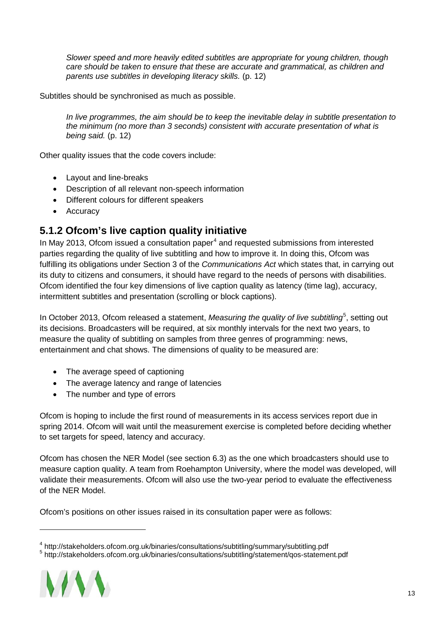*Slower speed and more heavily edited subtitles are appropriate for young children, though care should be taken to ensure that these are accurate and grammatical, as children and parents use subtitles in developing literacy skills.* (p. 12)

Subtitles should be synchronised as much as possible.

*In live programmes, the aim should be to keep the inevitable delay in subtitle presentation to the minimum (no more than 3 seconds) consistent with accurate presentation of what is being said.* (p. 12)

Other quality issues that the code covers include:

- Layout and line-breaks
- Description of all relevant non-speech information
- Different colours for different speakers
- Accuracy

#### <span id="page-12-0"></span>**5.1.2 Ofcom's live caption quality initiative**

In May 2013, Ofcom issued a consultation paper $4$  and requested submissions from interested parties regarding the quality of live subtitling and how to improve it. In doing this, Ofcom was fulfilling its obligations under Section 3 of the *Communications Act* which states that, in carrying out its duty to citizens and consumers, it should have regard to the needs of persons with disabilities. Ofcom identified the four key dimensions of live caption quality as latency (time lag), accuracy, intermittent subtitles and presentation (scrolling or block captions).

In October 2013, Ofcom released a statement, Measuring the quality of live subtitling<sup>[5](#page-12-2)</sup>, setting out its decisions. Broadcasters will be required, at six monthly intervals for the next two years, to measure the quality of subtitling on samples from three genres of programming: news, entertainment and chat shows. The dimensions of quality to be measured are:

- The average speed of captioning
- The average latency and range of latencies
- The number and type of errors

Ofcom is hoping to include the first round of measurements in its access services report due in spring 2014. Ofcom will wait until the measurement exercise is completed before deciding whether to set targets for speed, latency and accuracy.

Ofcom has chosen the NER Model (see section 6.3) as the one which broadcasters should use to measure caption quality. A team from Roehampton University, where the model was developed, will validate their measurements. Ofcom will also use the two-year period to evaluate the effectiveness of the NER Model.

Ofcom's positions on other issues raised in its consultation paper were as follows:

<span id="page-12-2"></span><span id="page-12-1"></span><sup>5</sup> http://stakeholders.ofcom.org.uk/binaries/consultations/subtitling/statement/qos-statement.pdf



<sup>4</sup> http://stakeholders.ofcom.org.uk/binaries/consultations/subtitling/summary/subtitling.pdf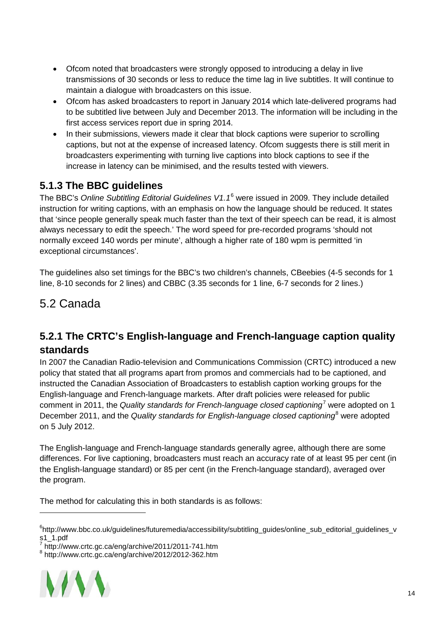- Ofcom noted that broadcasters were strongly opposed to introducing a delay in live transmissions of 30 seconds or less to reduce the time lag in live subtitles. It will continue to maintain a dialogue with broadcasters on this issue.
- Ofcom has asked broadcasters to report in January 2014 which late-delivered programs had to be subtitled live between July and December 2013. The information will be including in the first access services report due in spring 2014.
- In their submissions, viewers made it clear that block captions were superior to scrolling captions, but not at the expense of increased latency. Ofcom suggests there is still merit in broadcasters experimenting with turning live captions into block captions to see if the increase in latency can be minimised, and the results tested with viewers.

### <span id="page-13-0"></span>**5.1.3 The BBC guidelines**

The BBC's *Online Subtitling Editorial Guidelines V1.1*[6](#page-13-3) were issued in 2009. They include detailed instruction for writing captions, with an emphasis on how the language should be reduced. It states that 'since people generally speak much faster than the text of their speech can be read, it is almost always necessary to edit the speech.' The word speed for pre-recorded programs 'should not normally exceed 140 words per minute', although a higher rate of 180 wpm is permitted 'in exceptional circumstances'.

The guidelines also set timings for the BBC's two children's channels, CBeebies (4-5 seconds for 1 line, 8-10 seconds for 2 lines) and CBBC (3.35 seconds for 1 line, 6-7 seconds for 2 lines.)

### <span id="page-13-1"></span>5.2 Canada

#### <span id="page-13-2"></span>**5.2.1 The CRTC's English-language and French-language caption quality standards**

In 2007 the Canadian Radio-television and Communications Commission (CRTC) introduced a new policy that stated that all programs apart from promos and commercials had to be captioned, and instructed the Canadian Association of Broadcasters to establish caption working groups for the English-language and French-language markets. After draft policies were released for public comment in 2011, the *Quality standards for French-language closed captioning*[7](#page-13-4) were adopted on 1 December 2011, and the *Quality standards for English-language closed captioning*[8](#page-13-5) were adopted on 5 July 2012.

The English-language and French-language standards generally agree, although there are some differences. For live captioning, broadcasters must reach an accuracy rate of at least 95 per cent (in the English-language standard) or 85 per cent (in the French-language standard), averaged over the program.

The method for calculating this in both standards is as follows:

<span id="page-13-5"></span><span id="page-13-4"></span><sup>8</sup> http://www.crtc.gc.ca/eng/archive/2012/2012-362.htm



<span id="page-13-3"></span><sup>6</sup> http://www.bbc.co.uk/guidelines/futuremedia/accessibility/subtitling\_guides/online\_sub\_editorial\_guidelines\_v  $51 - 1.$ pdf

 $\overline{7}$  http://www.crtc.gc.ca/eng/archive/2011/2011-741.htm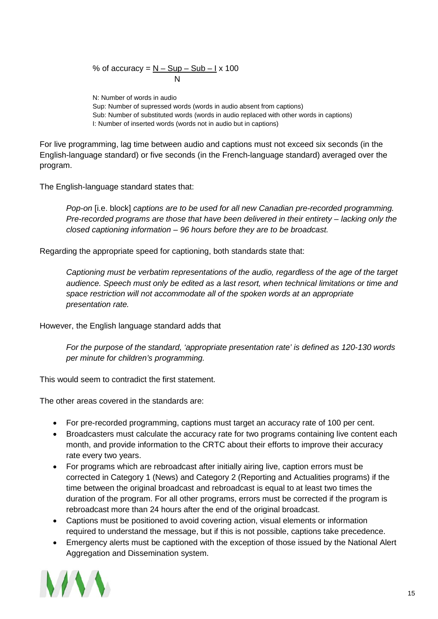% of accuracy = <u>N – Sup – Sub – I</u> x 100 N

N: Number of words in audio Sup: Number of supressed words (words in audio absent from captions) Sub: Number of substituted words (words in audio replaced with other words in captions) I: Number of inserted words (words not in audio but in captions)

For live programming, lag time between audio and captions must not exceed six seconds (in the English-language standard) or five seconds (in the French-language standard) averaged over the program.

The English-language standard states that:

*Pop-on* [i.e. block] *captions are to be used for all new Canadian pre-recorded programming. Pre-recorded programs are those that have been delivered in their entirety – lacking only the closed captioning information – 96 hours before they are to be broadcast.*

Regarding the appropriate speed for captioning, both standards state that:

*Captioning must be verbatim representations of the audio, regardless of the age of the target audience. Speech must only be edited as a last resort, when technical limitations or time and space restriction will not accommodate all of the spoken words at an appropriate presentation rate.* 

However, the English language standard adds that

*For the purpose of the standard, 'appropriate presentation rate' is defined as 120-130 words per minute for children's programming.*

This would seem to contradict the first statement.

The other areas covered in the standards are:

- For pre-recorded programming, captions must target an accuracy rate of 100 per cent.
- Broadcasters must calculate the accuracy rate for two programs containing live content each month, and provide information to the CRTC about their efforts to improve their accuracy rate every two years.
- For programs which are rebroadcast after initially airing live, caption errors must be corrected in Category 1 (News) and Category 2 (Reporting and Actualities programs) if the time between the original broadcast and rebroadcast is equal to at least two times the duration of the program. For all other programs, errors must be corrected if the program is rebroadcast more than 24 hours after the end of the original broadcast.
- Captions must be positioned to avoid covering action, visual elements or information required to understand the message, but if this is not possible, captions take precedence.
- Emergency alerts must be captioned with the exception of those issued by the National Alert Aggregation and Dissemination system.

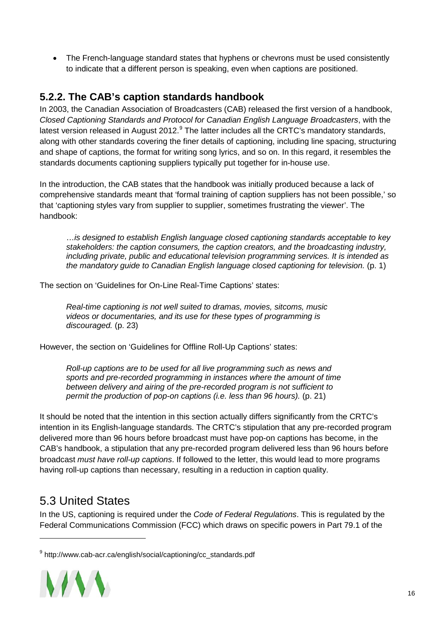• The French-language standard states that hyphens or chevrons must be used consistently to indicate that a different person is speaking, even when captions are positioned.

#### <span id="page-15-0"></span>**5.2.2. The CAB's caption standards handbook**

In 2003, the Canadian Association of Broadcasters (CAB) released the first version of a handbook, *Closed Captioning Standards and Protocol for Canadian English Language Broadcasters*, with the latest version released in August 2012.<sup>[9](#page-15-2)</sup> The latter includes all the CRTC's mandatory standards, along with other standards covering the finer details of captioning, including line spacing, structuring and shape of captions, the format for writing song lyrics, and so on. In this regard, it resembles the standards documents captioning suppliers typically put together for in-house use.

In the introduction, the CAB states that the handbook was initially produced because a lack of comprehensive standards meant that 'formal training of caption suppliers has not been possible,' so that 'captioning styles vary from supplier to supplier, sometimes frustrating the viewer'. The handbook:

…*is designed to establish English language closed captioning standards acceptable to key stakeholders: the caption consumers, the caption creators, and the broadcasting industry, including private, public and educational television programming services. It is intended as the mandatory guide to Canadian English language closed captioning for television.* (p. 1)

The section on 'Guidelines for On-Line Real-Time Captions' states:

*Real-time captioning is not well suited to dramas, movies, sitcoms, music videos or documentaries, and its use for these types of programming is discouraged.* (p. 23)

However, the section on 'Guidelines for Offline Roll-Up Captions' states:

*Roll-up captions are to be used for all live programming such as news and sports and pre-recorded programming in instances where the amount of time between delivery and airing of the pre-recorded program is not sufficient to permit the production of pop-on captions (i.e. less than 96 hours).* (p. 21)

It should be noted that the intention in this section actually differs significantly from the CRTC's intention in its English-language standards. The CRTC's stipulation that any pre-recorded program delivered more than 96 hours before broadcast must have pop-on captions has become, in the CAB's handbook, a stipulation that any pre-recorded program delivered less than 96 hours before broadcast *must have roll-up captions*. If followed to the letter, this would lead to more programs having roll-up captions than necessary, resulting in a reduction in caption quality.

### <span id="page-15-1"></span>5.3 United States

In the US, captioning is required under the *Code of Federal Regulations*. This is regulated by the Federal Communications Commission (FCC) which draws on specific powers in Part 79.1 of the

<span id="page-15-2"></span><sup>&</sup>lt;sup>9</sup> http://www.cab-acr.ca/english/social/captioning/cc\_standards.pdf

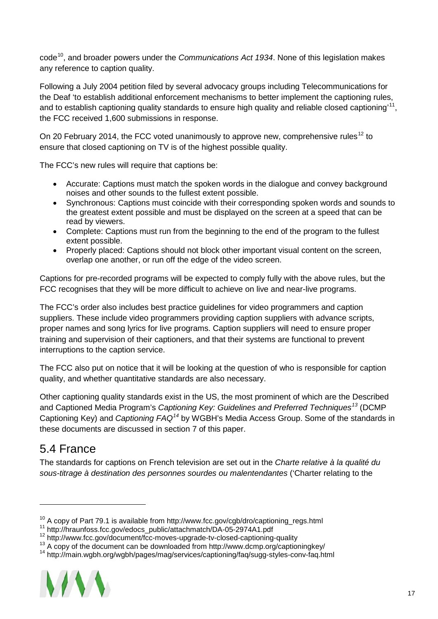code[10](#page-16-1), and broader powers under the *Communications Act 1934*. None of this legislation makes any reference to caption quality.

Following a July 2004 petition filed by several advocacy groups including Telecommunications for the Deaf 'to establish additional enforcement mechanisms to better implement the captioning rules, and to establish captioning quality standards to ensure high quality and reliable closed captioning'<sup>11</sup>, the FCC received 1,600 submissions in response.

On 20 February 2014, the FCC voted unanimously to approve new, comprehensive rules<sup>[12](#page-16-3)</sup> to ensure that closed captioning on TV is of the highest possible quality.

The FCC's new rules will require that captions be:

- Accurate: Captions must match the spoken words in the dialogue and convey background noises and other sounds to the fullest extent possible.
- Synchronous: Captions must coincide with their corresponding spoken words and sounds to the greatest extent possible and must be displayed on the screen at a speed that can be read by viewers.
- Complete: Captions must run from the beginning to the end of the program to the fullest extent possible.
- Properly placed: Captions should not block other important visual content on the screen, overlap one another, or run off the edge of the video screen.

Captions for pre-recorded programs will be expected to comply fully with the above rules, but the FCC recognises that they will be more difficult to achieve on live and near-live programs.

The FCC's order also includes best practice guidelines for video programmers and caption suppliers. These include video programmers providing caption suppliers with advance scripts, proper names and song lyrics for live programs. Caption suppliers will need to ensure proper training and supervision of their captioners, and that their systems are functional to prevent interruptions to the caption service.

The FCC also put on notice that it will be looking at the question of who is responsible for caption quality, and whether quantitative standards are also necessary.

Other captioning quality standards exist in the US, the most prominent of which are the Described and Captioned Media Program's *Captioning Key: Guidelines and Preferred Techniques[13](#page-16-4)* (DCMP Captioning Key) and *Captioning FAQ[14](#page-16-5)* by WGBH's Media Access Group. Some of the standards in these documents are discussed in section 7 of this paper.

### <span id="page-16-0"></span>5.4 France

-

The standards for captions on French television are set out in the *Charte relative à la qualité du sous-titrage à destination des personnes sourdes ou malentendantes* ('Charter relating to the

<span id="page-16-5"></span><span id="page-16-4"></span>

<span id="page-16-1"></span><sup>&</sup>lt;sup>10</sup> A copy of Part 79.1 is available from http://www.fcc.gov/cgb/dro/captioning\_regs.html<br><sup>11</sup> http://hraunfoss.fcc.gov/edocs\_public/attachmatch/DA-05-2974A1.pdf<br><sup>12</sup> http://www.fcc.gov/document/fcc-moves-upgrade-tv-clos

<span id="page-16-2"></span>

<span id="page-16-3"></span>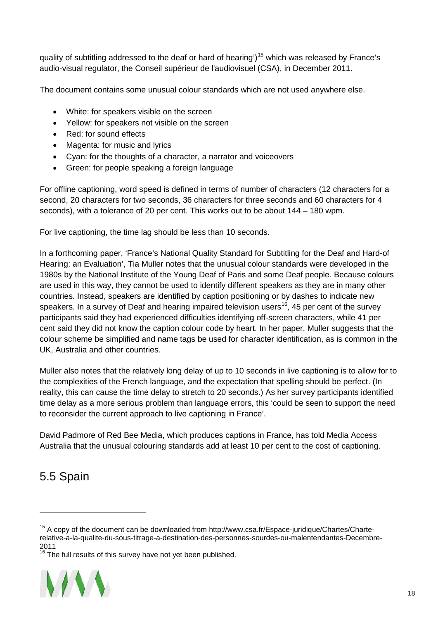quality of subtitling addressed to the deaf or hard of hearing')<sup>[15](#page-17-1)</sup> which was released by France's audio-visual regulator, the Conseil supérieur de l'audiovisuel (CSA), in December 2011.

The document contains some unusual colour standards which are not used anywhere else.

- White: for speakers visible on the screen
- Yellow: for speakers not visible on the screen
- Red: for sound effects
- Magenta: for music and lyrics
- Cyan: for the thoughts of a character, a narrator and voiceovers
- Green: for people speaking a foreign language

For offline captioning, word speed is defined in terms of number of characters (12 characters for a second, 20 characters for two seconds, 36 characters for three seconds and 60 characters for 4 seconds), with a tolerance of 20 per cent. This works out to be about 144 – 180 wpm.

For live captioning, the time lag should be less than 10 seconds.

In a forthcoming paper, 'France's National Quality Standard for Subtitling for the Deaf and Hard-of Hearing: an Evaluation', Tia Muller notes that the unusual colour standards were developed in the 1980s by the National Institute of the Young Deaf of Paris and some Deaf people. Because colours are used in this way, they cannot be used to identify different speakers as they are in many other countries. Instead, speakers are identified by caption positioning or by dashes to indicate new speakers. In a survey of Deaf and hearing impaired television users<sup>16</sup>, 45 per cent of the survey participants said they had experienced difficulties identifying off-screen characters, while 41 per cent said they did not know the caption colour code by heart. In her paper, Muller suggests that the colour scheme be simplified and name tags be used for character identification, as is common in the UK, Australia and other countries.

Muller also notes that the relatively long delay of up to 10 seconds in live captioning is to allow for to the complexities of the French language, and the expectation that spelling should be perfect. (In reality, this can cause the time delay to stretch to 20 seconds.) As her survey participants identified time delay as a more serious problem than language errors, this 'could be seen to support the need to reconsider the current approach to live captioning in France'.

David Padmore of Red Bee Media, which produces captions in France, has told Media Access Australia that the unusual colouring standards add at least 10 per cent to the cost of captioning.

### <span id="page-17-0"></span>5.5 Spain

<span id="page-17-2"></span> $16$ <sup>16</sup> The full results of this survey have not yet been published.



<span id="page-17-1"></span> $15$  A copy of the document can be downloaded from http://www.csa.fr/Espace-juridique/Chartes/Charterelative-a-la-qualite-du-sous-titrage-a-destination-des-personnes-sourdes-ou-malentendantes-Decembre-2011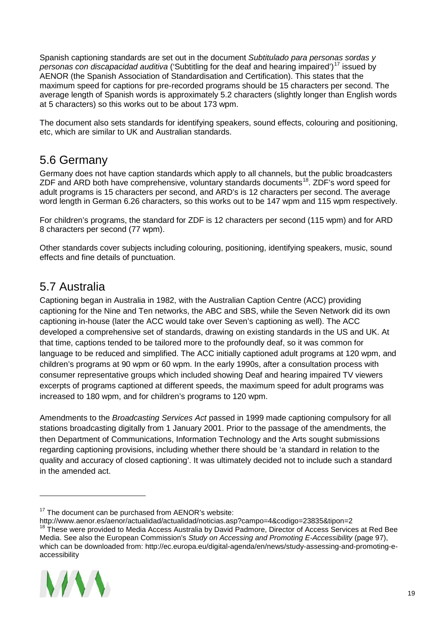Spanish captioning standards are set out in the document *Subtitulado para personas sordas y personas con discapacidad auditiva* ('Subtitling for the deaf and hearing impaired')[17](#page-18-2) issued by AENOR (the Spanish Association of Standardisation and Certification). This states that the maximum speed for captions for pre-recorded programs should be 15 characters per second. The average length of Spanish words is approximately 5.2 characters (slightly longer than English words at 5 characters) so this works out to be about 173 wpm.

The document also sets standards for identifying speakers, sound effects, colouring and positioning, etc, which are similar to UK and Australian standards.

### <span id="page-18-0"></span>5.6 Germany

Germany does not have caption standards which apply to all channels, but the public broadcasters ZDF and ARD both have comprehensive, voluntary standards documents<sup>[18](#page-18-3)</sup>. ZDF's word speed for adult programs is 15 characters per second, and ARD's is 12 characters per second. The average word length in German 6.26 characters, so this works out to be 147 wpm and 115 wpm respectively.

For children's programs, the standard for ZDF is 12 characters per second (115 wpm) and for ARD 8 characters per second (77 wpm).

Other standards cover subjects including colouring, positioning, identifying speakers, music, sound effects and fine details of punctuation.

### <span id="page-18-1"></span>5.7 Australia

Captioning began in Australia in 1982, with the Australian Caption Centre (ACC) providing captioning for the Nine and Ten networks, the ABC and SBS, while the Seven Network did its own captioning in-house (later the ACC would take over Seven's captioning as well). The ACC developed a comprehensive set of standards, drawing on existing standards in the US and UK. At that time, captions tended to be tailored more to the profoundly deaf, so it was common for language to be reduced and simplified. The ACC initially captioned adult programs at 120 wpm, and children's programs at 90 wpm or 60 wpm. In the early 1990s, after a consultation process with consumer representative groups which included showing Deaf and hearing impaired TV viewers excerpts of programs captioned at different speeds, the maximum speed for adult programs was increased to 180 wpm, and for children's programs to 120 wpm.

Amendments to the *Broadcasting Services Act* passed in 1999 made captioning compulsory for all stations broadcasting digitally from 1 January 2001. Prior to the passage of the amendments, the then Department of Communications, Information Technology and the Arts sought submissions regarding captioning provisions, including whether there should be 'a standard in relation to the quality and accuracy of closed captioning'. It was ultimately decided not to include such a standard in the amended act.

<span id="page-18-3"></span><sup>&</sup>lt;sup>18</sup> These were provided to Media Access Australia by David Padmore, Director of Access Services at Red Bee Media. See also the European Commission's *Study on Accessing and Promoting E-Accessibility* (page 97), which can be downloaded from: http://ec.europa.eu/digital-agenda/en/news/study-assessing-and-promoting-eaccessibility



<span id="page-18-2"></span> $17$  The document can be purchased from AENOR's website:

http://www.aenor.es/aenor/actualidad/actualidad/noticias.asp?campo=4&codigo=23835&tipon=2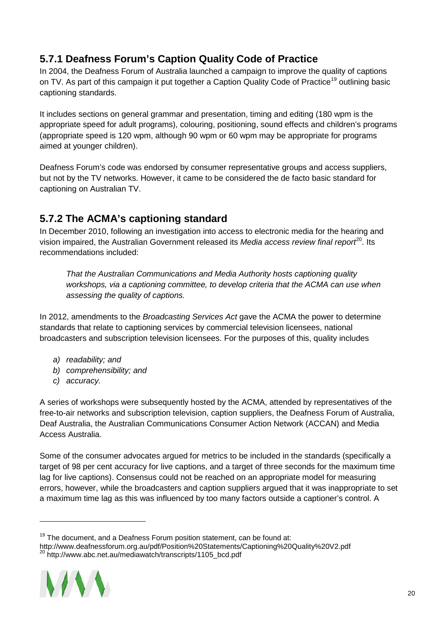#### <span id="page-19-0"></span>**5.7.1 Deafness Forum's Caption Quality Code of Practice**

In 2004, the Deafness Forum of Australia launched a campaign to improve the quality of captions on TV. As part of this campaign it put together a Caption Quality Code of Practice<sup>[19](#page-19-2)</sup> outlining basic captioning standards.

It includes sections on general grammar and presentation, timing and editing (180 wpm is the appropriate speed for adult programs), colouring, positioning, sound effects and children's programs (appropriate speed is 120 wpm, although 90 wpm or 60 wpm may be appropriate for programs aimed at younger children).

Deafness Forum's code was endorsed by consumer representative groups and access suppliers, but not by the TV networks. However, it came to be considered the de facto basic standard for captioning on Australian TV.

#### <span id="page-19-1"></span>**5.7.2 The ACMA's captioning standard**

In December 2010, following an investigation into access to electronic media for the hearing and vision impaired, the Australian Government released its *Media access review final report*<sup>[20](#page-19-3)</sup>. Its recommendations included:

*That the Australian Communications and Media Authority hosts captioning quality workshops, via a captioning committee, to develop criteria that the ACMA can use when assessing the quality of captions.*

In 2012, amendments to the *Broadcasting Services Act* gave the ACMA the power to determine standards that relate to captioning services by commercial television licensees, national broadcasters and subscription television licensees. For the purposes of this, quality includes

- *a) readability; and*
- *b) comprehensibility; and*
- *c) accuracy.*

A series of workshops were subsequently hosted by the ACMA, attended by representatives of the free-to-air networks and subscription television, caption suppliers, the Deafness Forum of Australia, Deaf Australia, the Australian Communications Consumer Action Network (ACCAN) and Media Access Australia.

Some of the consumer advocates argued for metrics to be included in the standards (specifically a target of 98 per cent accuracy for live captions, and a target of three seconds for the maximum time lag for live captions). Consensus could not be reached on an appropriate model for measuring errors, however, while the broadcasters and caption suppliers argued that it was inappropriate to set a maximum time lag as this was influenced by too many factors outside a captioner's control. A

<span id="page-19-3"></span><span id="page-19-2"></span>http://www.deafnessforum.org.au/pdf/Position%20Statements/Captioning%20Quality%20V2.pdf  $^{20}$  http://www.abc.net.au/mediawatch/transcripts/1105\_bcd.pdf



 $19$  The document, and a Deafness Forum position statement, can be found at: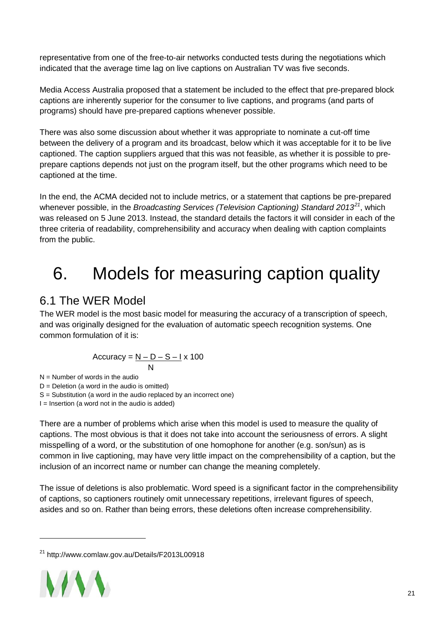representative from one of the free-to-air networks conducted tests during the negotiations which indicated that the average time lag on live captions on Australian TV was five seconds.

Media Access Australia proposed that a statement be included to the effect that pre-prepared block captions are inherently superior for the consumer to live captions, and programs (and parts of programs) should have pre-prepared captions whenever possible.

There was also some discussion about whether it was appropriate to nominate a cut-off time between the delivery of a program and its broadcast, below which it was acceptable for it to be live captioned. The caption suppliers argued that this was not feasible, as whether it is possible to preprepare captions depends not just on the program itself, but the other programs which need to be captioned at the time.

In the end, the ACMA decided not to include metrics, or a statement that captions be pre-prepared whenever possible, in the *Broadcasting Services (Television Captioning) Standard 2013[21](#page-20-2)*, which was released on 5 June 2013. Instead, the standard details the factors it will consider in each of the three criteria of readability, comprehensibility and accuracy when dealing with caption complaints from the public.

# <span id="page-20-0"></span>6. Models for measuring caption quality

### <span id="page-20-1"></span>6.1 The WER Model

The WER model is the most basic model for measuring the accuracy of a transcription of speech, and was originally designed for the evaluation of automatic speech recognition systems. One common formulation of it is:

$$
Accuracy = \frac{N - D - S - I \times 100}{N}
$$

 $N =$  Number of words in the audio

 $D =$  Deletion (a word in the audio is omitted)

S = Substitution (a word in the audio replaced by an incorrect one)

 $I =$  Insertion (a word not in the audio is added)

There are a number of problems which arise when this model is used to measure the quality of captions. The most obvious is that it does not take into account the seriousness of errors. A slight misspelling of a word, or the substitution of one homophone for another (e.g. son/sun) as is common in live captioning, may have very little impact on the comprehensibility of a caption, but the inclusion of an incorrect name or number can change the meaning completely.

The issue of deletions is also problematic. Word speed is a significant factor in the comprehensibility of captions, so captioners routinely omit unnecessary repetitions, irrelevant figures of speech, asides and so on. Rather than being errors, these deletions often increase comprehensibility.

<span id="page-20-2"></span><sup>21</sup> http://www.comlaw.gov.au/Details/F2013L00918

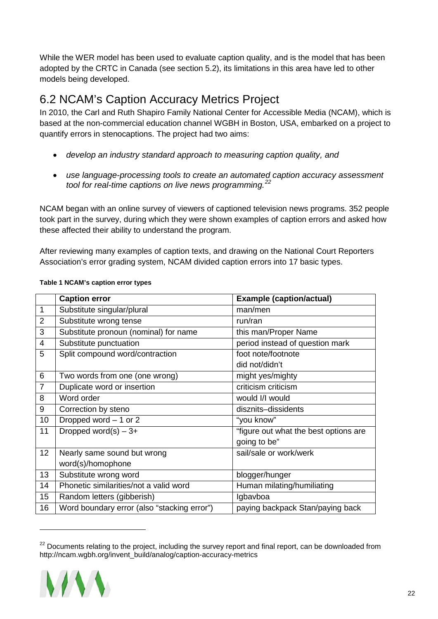While the WER model has been used to evaluate caption quality, and is the model that has been adopted by the CRTC in Canada (see section 5.2), its limitations in this area have led to other models being developed.

### <span id="page-21-0"></span>6.2 NCAM's Caption Accuracy Metrics Project

In 2010, the Carl and Ruth Shapiro Family National Center for Accessible Media (NCAM), which is based at the non-commercial education channel WGBH in Boston, USA, embarked on a project to quantify errors in stenocaptions. The project had two aims:

- *develop an industry standard approach to measuring caption quality, and*
- *use language-processing tools to create an automated caption accuracy assessment tool for real-time captions on live news programming.[22](#page-21-1)*

NCAM began with an online survey of viewers of captioned television news programs. 352 people took part in the survey, during which they were shown examples of caption errors and asked how these affected their ability to understand the program.

After reviewing many examples of caption texts, and drawing on the National Court Reporters Association's error grading system, NCAM divided caption errors into 17 basic types.

|                | <b>Caption error</b>                        | <b>Example (caption/actual)</b>       |
|----------------|---------------------------------------------|---------------------------------------|
| 1              | Substitute singular/plural                  | man/men                               |
| $\overline{2}$ | Substitute wrong tense                      | run/ran                               |
| 3              | Substitute pronoun (nominal) for name       | this man/Proper Name                  |
| 4              | Substitute punctuation                      | period instead of question mark       |
| 5              | Split compound word/contraction             | foot note/footnote                    |
|                |                                             | did not/didn't                        |
| 6              | Two words from one (one wrong)              | might yes/mighty                      |
| $\overline{7}$ | Duplicate word or insertion                 | criticism criticism                   |
| 8              | Word order                                  | would I/I would                       |
| 9              | Correction by steno                         | disznits-dissidents                   |
| 10             | Dropped word - 1 or 2                       | "you know"                            |
| 11             | Dropped word(s) $-3+$                       | "figure out what the best options are |
|                |                                             | going to be"                          |
| 12             | Nearly same sound but wrong                 | sail/sale or work/werk                |
|                | word(s)/homophone                           |                                       |
| 13             | Substitute wrong word                       | blogger/hunger                        |
| 14             | Phonetic similarities/not a valid word      | Human milating/humiliating            |
| 15             | Random letters (gibberish)                  | Igbavboa                              |
| 16             | Word boundary error (also "stacking error") | paying backpack Stan/paying back      |

#### **Table 1 NCAM's caption error types**

<span id="page-21-1"></span> $22$  Documents relating to the project, including the survey report and final report, can be downloaded from http://ncam.wgbh.org/invent\_build/analog/caption-accuracy-metrics

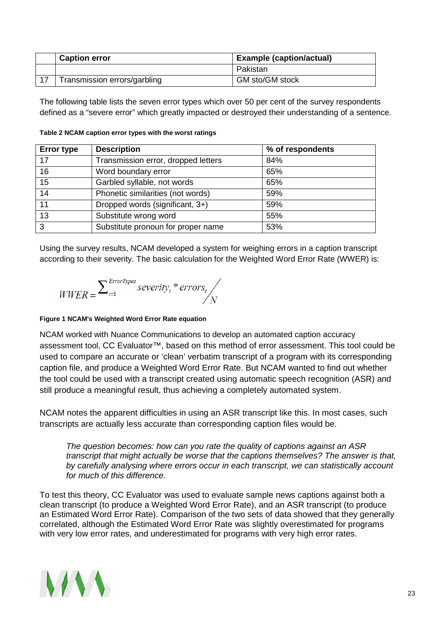| <b>Caption error</b>         | <b>Example (caption/actual)</b> |  |
|------------------------------|---------------------------------|--|
|                              | Pakistan                        |  |
| Transmission errors/garbling | GM sto/GM stock                 |  |

The following table lists the seven error types which over 50 per cent of the survey respondents defined as a "severe error" which greatly impacted or destroyed their understanding of a sentence.

| <b>Error type</b> | <b>Description</b>                  | % of respondents |
|-------------------|-------------------------------------|------------------|
| 17                | Transmission error, dropped letters | 84%              |
| 16                | Word boundary error                 | 65%              |
| 15                | Garbled syllable, not words         | 65%              |
| 14                | Phonetic similarities (not words)   | 59%              |
| 11                | Dropped words (significant, 3+)     | 59%              |
| $\overline{13}$   | Substitute wrong word               | 55%              |
| $\overline{3}$    | Substitute pronoun for proper name  | 53%              |

**Table 2 NCAM caption error types with the worst ratings**

Using the survey results, NCAM developed a system for weighing errors in a caption transcript according to their severity. The basic calculation for the Weighted Word Error Rate (WWER) is:

$$
WWER = \sum_{t=1}^{ErrorTypes} severity_t * errors_t / N
$$

#### **Figure 1 NCAM's Weighted Word Error Rate equation**

NCAM worked with Nuance Communications to develop an automated caption accuracy assessment tool, CC Evaluator™, based on this method of error assessment. This tool could be used to compare an accurate or 'clean' verbatim transcript of a program with its corresponding caption file, and produce a Weighted Word Error Rate. But NCAM wanted to find out whether the tool could be used with a transcript created using automatic speech recognition (ASR) and still produce a meaningful result, thus achieving a completely automated system.

NCAM notes the apparent difficulties in using an ASR transcript like this. In most cases, such transcripts are actually less accurate than corresponding caption files would be.

*The question becomes: how can you rate the quality of captions against an ASR transcript that might actually be worse that the captions themselves? The answer is that, by carefully analysing where errors occur in each transcript, we can statistically account for much of this difference.*

To test this theory, CC Evaluator was used to evaluate sample news captions against both a clean transcript (to produce a Weighted Word Error Rate), and an ASR transcript (to produce an Estimated Word Error Rate). Comparison of the two sets of data showed that they generally correlated, although the Estimated Word Error Rate was slightly overestimated for programs with very low error rates, and underestimated for programs with very high error rates.

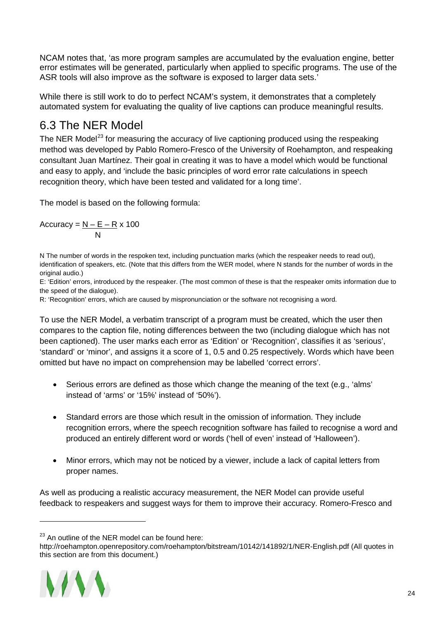NCAM notes that, 'as more program samples are accumulated by the evaluation engine, better error estimates will be generated, particularly when applied to specific programs. The use of the ASR tools will also improve as the software is exposed to larger data sets.'

While there is still work to do to perfect NCAM's system, it demonstrates that a completely automated system for evaluating the quality of live captions can produce meaningful results.

### <span id="page-23-0"></span>6.3 The NER Model

The NER Model<sup>[23](#page-23-1)</sup> for measuring the accuracy of live captioning produced using the respeaking method was developed by Pablo Romero-Fresco of the University of Roehampton, and respeaking consultant Juan Martínez. Their goal in creating it was to have a model which would be functional and easy to apply, and 'include the basic principles of word error rate calculations in speech recognition theory, which have been tested and validated for a long time'.

The model is based on the following formula:

Accuracy = <u>N – E – R</u> x 100 N

N The number of words in the respoken text, including punctuation marks (which the respeaker needs to read out), identification of speakers, etc. (Note that this differs from the WER model, where N stands for the number of words in the original audio.)

E: 'Edition' errors, introduced by the respeaker. (The most common of these is that the respeaker omits information due to the speed of the dialogue).

R: 'Recognition' errors, which are caused by mispronunciation or the software not recognising a word.

To use the NER Model, a verbatim transcript of a program must be created, which the user then compares to the caption file, noting differences between the two (including dialogue which has not been captioned). The user marks each error as 'Edition' or 'Recognition', classifies it as 'serious', 'standard' or 'minor', and assigns it a score of 1, 0.5 and 0.25 respectively. Words which have been omitted but have no impact on comprehension may be labelled 'correct errors'.

- Serious errors are defined as those which change the meaning of the text (e.g., 'alms' instead of 'arms' or '15%' instead of '50%').
- Standard errors are those which result in the omission of information. They include recognition errors, where the speech recognition software has failed to recognise a word and produced an entirely different word or words ('hell of even' instead of 'Halloween').
- Minor errors, which may not be noticed by a viewer, include a lack of capital letters from proper names.

As well as producing a realistic accuracy measurement, the NER Model can provide useful feedback to respeakers and suggest ways for them to improve their accuracy. Romero-Fresco and

<span id="page-23-1"></span>http://roehampton.openrepository.com/roehampton/bitstream/10142/141892/1/NER-English.pdf (All quotes in this section are from this document.)



 $23$  An outline of the NER model can be found here: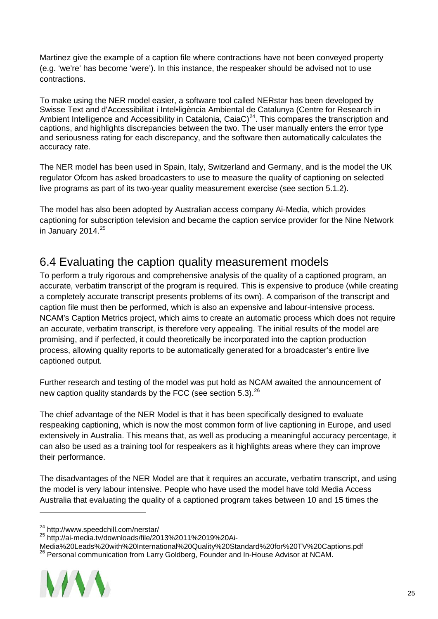Martinez give the example of a caption file where contractions have not been conveyed property (e.g. 'we're' has become 'were'). In this instance, the respeaker should be advised not to use contractions.

To make using the NER model easier, a software tool called NERstar has been developed by Swisse Text and d'Accessibilitat i Intel•ligència Ambiental de Catalunya (Centre for Research in Ambient Intelligence and Accessibility in Catalonia, CaiaC)<sup>[24](#page-24-1)</sup>. This compares the transcription and captions, and highlights discrepancies between the two. The user manually enters the error type and seriousness rating for each discrepancy, and the software then automatically calculates the accuracy rate.

The NER model has been used in Spain, Italy, Switzerland and Germany, and is the model the UK regulator Ofcom has asked broadcasters to use to measure the quality of captioning on selected live programs as part of its two-year quality measurement exercise (see section 5.1.2).

The model has also been adopted by Australian access company Ai-Media, which provides captioning for subscription television and became the caption service provider for the Nine Network in January 2014. $25$ 

### <span id="page-24-0"></span>6.4 Evaluating the caption quality measurement models

To perform a truly rigorous and comprehensive analysis of the quality of a captioned program, an accurate, verbatim transcript of the program is required. This is expensive to produce (while creating a completely accurate transcript presents problems of its own). A comparison of the transcript and caption file must then be performed, which is also an expensive and labour-intensive process. NCAM's Caption Metrics project, which aims to create an automatic process which does not require an accurate, verbatim transcript, is therefore very appealing. The initial results of the model are promising, and if perfected, it could theoretically be incorporated into the caption production process, allowing quality reports to be automatically generated for a broadcaster's entire live captioned output.

Further research and testing of the model was put hold as NCAM awaited the announcement of new caption quality standards by the FCC (see section 5.3).<sup>[26](#page-24-3)</sup>

The chief advantage of the NER Model is that it has been specifically designed to evaluate respeaking captioning, which is now the most common form of live captioning in Europe, and used extensively in Australia. This means that, as well as producing a meaningful accuracy percentage, it can also be used as a training tool for respeakers as it highlights areas where they can improve their performance.

The disadvantages of the NER Model are that it requires an accurate, verbatim transcript, and using the model is very labour intensive. People who have used the model have told Media Access Australia that evaluating the quality of a captioned program takes between 10 and 15 times the

<span id="page-24-2"></span><span id="page-24-1"></span><sup>&</sup>lt;sup>24</sup> http://www.speedchill.com/nerstar/<br><sup>25</sup> http://ai-media.tv/downloads/file/2013%2011%2019%20Ai-<br>Media%20Leads%20with%20International%20Quality%20Standard%20for%20TV%20Captions.pdf <sup>26</sup> Personal communication from Larry Goldberg, Founder and In-House Advisor at NCAM.



<span id="page-24-3"></span>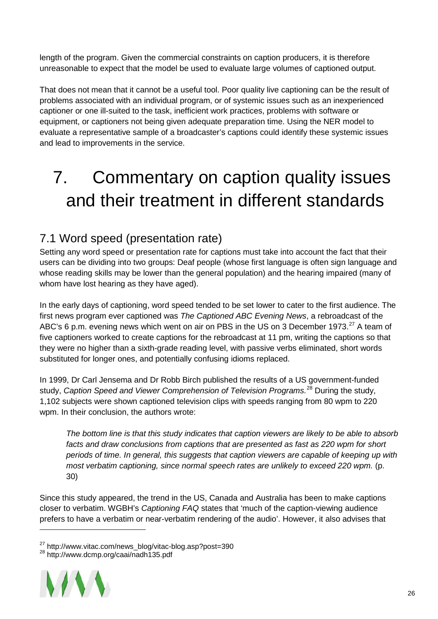length of the program. Given the commercial constraints on caption producers, it is therefore unreasonable to expect that the model be used to evaluate large volumes of captioned output.

That does not mean that it cannot be a useful tool. Poor quality live captioning can be the result of problems associated with an individual program, or of systemic issues such as an inexperienced captioner or one ill-suited to the task, inefficient work practices, problems with software or equipment, or captioners not being given adequate preparation time. Using the NER model to evaluate a representative sample of a broadcaster's captions could identify these systemic issues and lead to improvements in the service.

# <span id="page-25-0"></span>7. Commentary on caption quality issues and their treatment in different standards

### <span id="page-25-1"></span>7.1 Word speed (presentation rate)

Setting any word speed or presentation rate for captions must take into account the fact that their users can be dividing into two groups: Deaf people (whose first language is often sign language and whose reading skills may be lower than the general population) and the hearing impaired (many of whom have lost hearing as they have aged).

In the early days of captioning, word speed tended to be set lower to cater to the first audience. The first news program ever captioned was *The Captioned ABC Evening News*, a rebroadcast of the ABC's 6 p.m. evening news which went on air on PBS in the US on 3 December 1973.<sup>[27](#page-25-2)</sup> A team of five captioners worked to create captions for the rebroadcast at 11 pm, writing the captions so that they were no higher than a sixth-grade reading level, with passive verbs eliminated, short words substituted for longer ones, and potentially confusing idioms replaced.

In 1999, Dr Carl Jensema and Dr Robb Birch published the results of a US government-funded study, *Caption Speed and Viewer Comprehension of Television Programs.* [28](#page-25-3) During the study, 1,102 subjects were shown captioned television clips with speeds ranging from 80 wpm to 220 wpm. In their conclusion, the authors wrote:

*The bottom line is that this study indicates that caption viewers are likely to be able to absorb facts and draw conclusions from captions that are presented as fast as 220 wpm for short periods of time. In general, this suggests that caption viewers are capable of keeping up with most verbatim captioning, since normal speech rates are unlikely to exceed 220 wpm.* (p. 30)

Since this study appeared, the trend in the US, Canada and Australia has been to make captions closer to verbatim. WGBH's *Captioning FAQ* states that 'much of the caption-viewing audience prefers to have a verbatim or near-verbatim rendering of the audio'. However, it also advises that

<span id="page-25-3"></span><span id="page-25-2"></span>

<sup>&</sup>lt;sup>27</sup> http://www.vitac.com/news\_blog/vitac-blog.asp?post=390<br><sup>28</sup> http://www.dcmp.org/caai/nadh135.pdf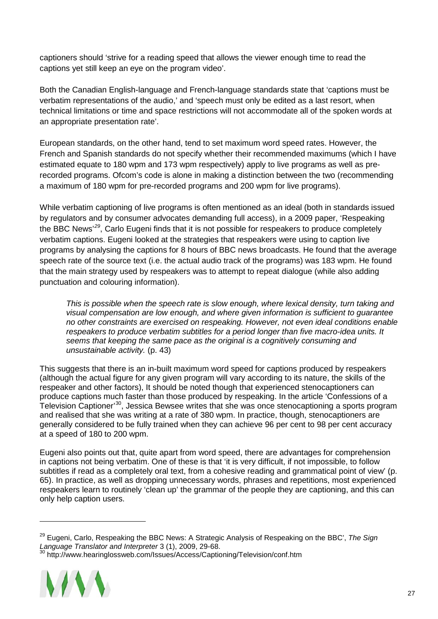captioners should 'strive for a reading speed that allows the viewer enough time to read the captions yet still keep an eye on the program video'.

Both the Canadian English-language and French-language standards state that 'captions must be verbatim representations of the audio,' and 'speech must only be edited as a last resort, when technical limitations or time and space restrictions will not accommodate all of the spoken words at an appropriate presentation rate'.

European standards, on the other hand, tend to set maximum word speed rates. However, the French and Spanish standards do not specify whether their recommended maximums (which I have estimated equate to 180 wpm and 173 wpm respectively) apply to live programs as well as prerecorded programs. Ofcom's code is alone in making a distinction between the two (recommending a maximum of 180 wpm for pre-recorded programs and 200 wpm for live programs).

While verbatim captioning of live programs is often mentioned as an ideal (both in standards issued by regulators and by consumer advocates demanding full access), in a 2009 paper, 'Respeaking the BBC News'*[29](#page-26-0)*, Carlo Eugeni finds that it is not possible for respeakers to produce completely verbatim captions. Eugeni looked at the strategies that respeakers were using to caption live programs by analysing the captions for 8 hours of BBC news broadcasts. He found that the average speech rate of the source text (i.e. the actual audio track of the programs) was 183 wpm. He found that the main strategy used by respeakers was to attempt to repeat dialogue (while also adding punctuation and colouring information).

*This is possible when the speech rate is slow enough, where lexical density, turn taking and visual compensation are low enough, and where given information is sufficient to guarantee no other constraints are exercised on respeaking. However, not even ideal conditions enable respeakers to produce verbatim subtitles for a period longer than five macro-idea units. It seems that keeping the same pace as the original is a cognitively consuming and unsustainable activity.* (p. 43)

This suggests that there is an in-built maximum word speed for captions produced by respeakers (although the actual figure for any given program will vary according to its nature, the skills of the respeaker and other factors), It should be noted though that experienced stenocaptioners can produce captions much faster than those produced by respeaking. In the article 'Confessions of a Television Captioner'[30,](#page-26-1) Jessica Bewsee writes that she was once stenocaptioning a sports program and realised that she was writing at a rate of 380 wpm. In practice, though, stenocaptioners are generally considered to be fully trained when they can achieve 96 per cent to 98 per cent accuracy at a speed of 180 to 200 wpm.

Eugeni also points out that, quite apart from word speed, there are advantages for comprehension in captions not being verbatim. One of these is that 'it is very difficult, if not impossible, to follow subtitles if read as a completely oral text, from a cohesive reading and grammatical point of view' (p. 65). In practice, as well as dropping unnecessary words, phrases and repetitions, most experienced respeakers learn to routinely 'clean up' the grammar of the people they are captioning, and this can only help caption users.

<span id="page-26-1"></span><span id="page-26-0"></span><sup>30</sup> http://www.hearinglossweb.com/Issues/Access/Captioning/Television/conf.htm



<sup>29</sup> Eugeni, Carlo, Respeaking the BBC News: A Strategic Analysis of Respeaking on the BBC', *The Sign Language Translator and Interpreter* 3 (1), 2009, 29-68.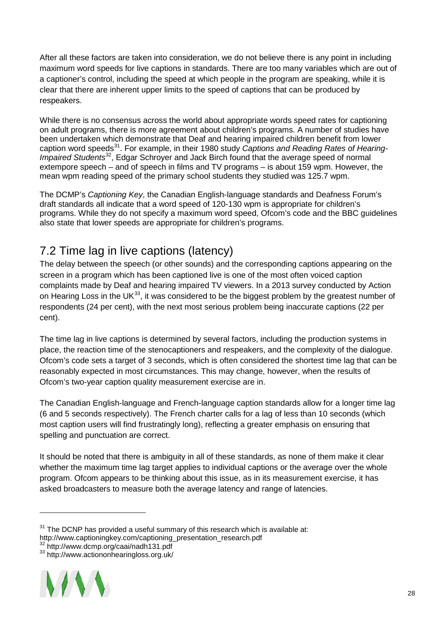After all these factors are taken into consideration, we do not believe there is any point in including maximum word speeds for live captions in standards. There are too many variables which are out of a captioner's control, including the speed at which people in the program are speaking, while it is clear that there are inherent upper limits to the speed of captions that can be produced by respeakers.

While there is no consensus across the world about appropriate words speed rates for captioning on adult programs, there is more agreement about children's programs. A number of studies have been undertaken which demonstrate that Deaf and hearing impaired children benefit from lower caption word speeds<sup>[31](#page-27-1)</sup>. For example, in their 1980 study *Captions and Reading Rates of Hearing-Impaired Students*[32](#page-27-2), Edgar Schroyer and Jack Birch found that the average speed of normal extempore speech – and of speech in films and TV programs – is about 159 wpm. However, the mean wpm reading speed of the primary school students they studied was 125.7 wpm.

The DCMP's *Captioning Key*, the Canadian English-language standards and Deafness Forum's draft standards all indicate that a word speed of 120-130 wpm is appropriate for children's programs. While they do not specify a maximum word speed, Ofcom's code and the BBC guidelines also state that lower speeds are appropriate for children's programs.

### <span id="page-27-0"></span>7.2 Time lag in live captions (latency)

The delay between the speech (or other sounds) and the corresponding captions appearing on the screen in a program which has been captioned live is one of the most often voiced caption complaints made by Deaf and hearing impaired TV viewers. In a 2013 survey conducted by Action on Hearing Loss in the UK $^{33}$ , it was considered to be the biggest problem by the greatest number of respondents (24 per cent), with the next most serious problem being inaccurate captions (22 per cent).

The time lag in live captions is determined by several factors, including the production systems in place, the reaction time of the stenocaptioners and respeakers, and the complexity of the dialogue. Ofcom's code sets a target of 3 seconds, which is often considered the shortest time lag that can be reasonably expected in most circumstances. This may change, however, when the results of Ofcom's two-year caption quality measurement exercise are in.

The Canadian English-language and French-language caption standards allow for a longer time lag (6 and 5 seconds respectively). The French charter calls for a lag of less than 10 seconds (which most caption users will find frustratingly long), reflecting a greater emphasis on ensuring that spelling and punctuation are correct.

It should be noted that there is ambiguity in all of these standards, as none of them make it clear whether the maximum time lag target applies to individual captions or the average over the whole program. Ofcom appears to be thinking about this issue, as in its measurement exercise, it has asked broadcasters to measure both the average latency and range of latencies.

<span id="page-27-3"></span><span id="page-27-2"></span>

<span id="page-27-1"></span> $31$  The DCNP has provided a useful summary of this research which is available at:

http://www.captioningkey.com/captioning\_presentation\_research.pdf 32<br>http://www.dcmp.org/caai/nadh131.pdf<br>33 http://www.actiononhearingloss.org.uk/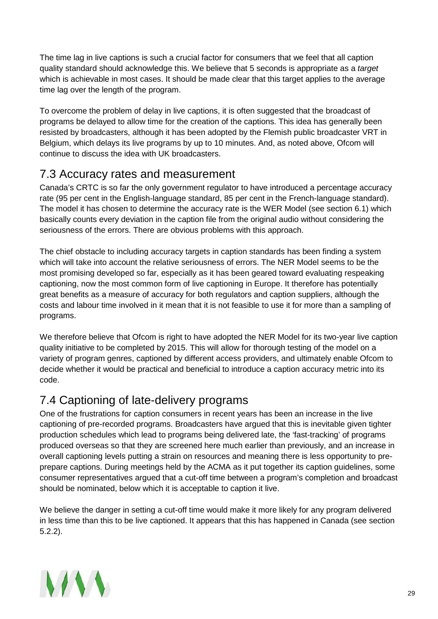The time lag in live captions is such a crucial factor for consumers that we feel that all caption quality standard should acknowledge this. We believe that 5 seconds is appropriate as a *target* which is achievable in most cases. It should be made clear that this target applies to the average time lag over the length of the program.

To overcome the problem of delay in live captions, it is often suggested that the broadcast of programs be delayed to allow time for the creation of the captions. This idea has generally been resisted by broadcasters, although it has been adopted by the Flemish public broadcaster VRT in Belgium, which delays its live programs by up to 10 minutes. And, as noted above, Ofcom will continue to discuss the idea with UK broadcasters.

### <span id="page-28-0"></span>7.3 Accuracy rates and measurement

Canada's CRTC is so far the only government regulator to have introduced a percentage accuracy rate (95 per cent in the English-language standard, 85 per cent in the French-language standard). The model it has chosen to determine the accuracy rate is the WER Model (see section 6.1) which basically counts every deviation in the caption file from the original audio without considering the seriousness of the errors. There are obvious problems with this approach.

The chief obstacle to including accuracy targets in caption standards has been finding a system which will take into account the relative seriousness of errors. The NER Model seems to be the most promising developed so far, especially as it has been geared toward evaluating respeaking captioning, now the most common form of live captioning in Europe. It therefore has potentially great benefits as a measure of accuracy for both regulators and caption suppliers, although the costs and labour time involved in it mean that it is not feasible to use it for more than a sampling of programs.

We therefore believe that Ofcom is right to have adopted the NER Model for its two-year live caption quality initiative to be completed by 2015. This will allow for thorough testing of the model on a variety of program genres, captioned by different access providers, and ultimately enable Ofcom to decide whether it would be practical and beneficial to introduce a caption accuracy metric into its code.

### <span id="page-28-1"></span>7.4 Captioning of late-delivery programs

One of the frustrations for caption consumers in recent years has been an increase in the live captioning of pre-recorded programs. Broadcasters have argued that this is inevitable given tighter production schedules which lead to programs being delivered late, the 'fast-tracking' of programs produced overseas so that they are screened here much earlier than previously, and an increase in overall captioning levels putting a strain on resources and meaning there is less opportunity to preprepare captions. During meetings held by the ACMA as it put together its caption guidelines, some consumer representatives argued that a cut-off time between a program's completion and broadcast should be nominated, below which it is acceptable to caption it live.

We believe the danger in setting a cut-off time would make it more likely for any program delivered in less time than this to be live captioned. It appears that this has happened in Canada (see section 5.2.2).

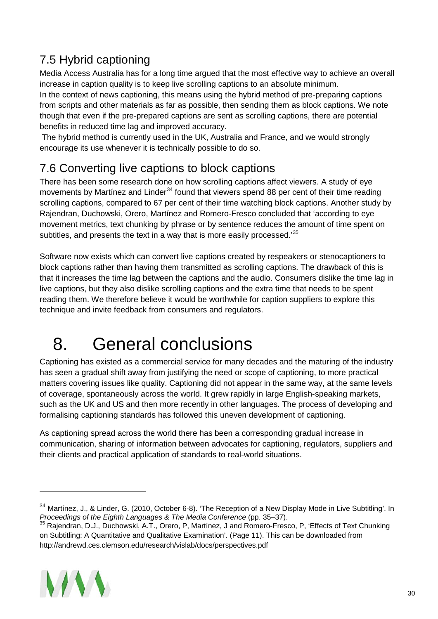## <span id="page-29-0"></span>7.5 Hybrid captioning

Media Access Australia has for a long time argued that the most effective way to achieve an overall increase in caption quality is to keep live scrolling captions to an absolute minimum.

In the context of news captioning, this means using the hybrid method of pre-preparing captions from scripts and other materials as far as possible, then sending them as block captions. We note though that even if the pre-prepared captions are sent as scrolling captions, there are potential benefits in reduced time lag and improved accuracy.

The hybrid method is currently used in the UK, Australia and France, and we would strongly encourage its use whenever it is technically possible to do so.

### <span id="page-29-1"></span>7.6 Converting live captions to block captions

There has been some research done on how scrolling captions affect viewers. A study of eye movements by Martinez and Linder<sup>[34](#page-29-3)</sup> found that viewers spend 88 per cent of their time reading scrolling captions, compared to 67 per cent of their time watching block captions. Another study by Rajendran, Duchowski, Orero, Martínez and Romero-Fresco concluded that 'according to eye movement metrics, text chunking by phrase or by sentence reduces the amount of time spent on subtitles, and presents the text in a way that is more easily processed.<sup>[35](#page-29-4)</sup>

Software now exists which can convert live captions created by respeakers or stenocaptioners to block captions rather than having them transmitted as scrolling captions. The drawback of this is that it increases the time lag between the captions and the audio. Consumers dislike the time lag in live captions, but they also dislike scrolling captions and the extra time that needs to be spent reading them. We therefore believe it would be worthwhile for caption suppliers to explore this technique and invite feedback from consumers and regulators.

# <span id="page-29-2"></span>8. General conclusions

Captioning has existed as a commercial service for many decades and the maturing of the industry has seen a gradual shift away from justifying the need or scope of captioning, to more practical matters covering issues like quality. Captioning did not appear in the same way, at the same levels of coverage, spontaneously across the world. It grew rapidly in large English-speaking markets, such as the UK and US and then more recently in other languages. The process of developing and formalising captioning standards has followed this uneven development of captioning.

As captioning spread across the world there has been a corresponding gradual increase in communication, sharing of information between advocates for captioning, regulators, suppliers and their clients and practical application of standards to real-world situations.

<span id="page-29-4"></span><sup>35</sup> Rajendran, D.J., Duchowski, A.T., Orero, P, Martínez, J and Romero-Fresco, P, 'Effects of Text Chunking on Subtitling: A Quantitative and Qualitative Examination'. (Page 11). This can be downloaded from http://andrewd.ces.clemson.edu/research/vislab/docs/perspectives.pdf



<span id="page-29-3"></span><sup>34</sup> Martínez, J., & Linder, G. (2010, October 6-8). 'The Reception of a New Display Mode in Live Subtitling'. In *Proceedings of the Eighth Languages & The Media Conference* (pp. 35–37).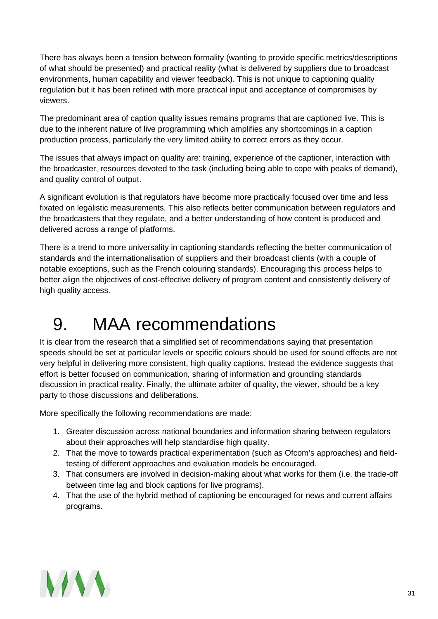There has always been a tension between formality (wanting to provide specific metrics/descriptions of what should be presented) and practical reality (what is delivered by suppliers due to broadcast environments, human capability and viewer feedback). This is not unique to captioning quality regulation but it has been refined with more practical input and acceptance of compromises by viewers.

The predominant area of caption quality issues remains programs that are captioned live. This is due to the inherent nature of live programming which amplifies any shortcomings in a caption production process, particularly the very limited ability to correct errors as they occur.

The issues that always impact on quality are: training, experience of the captioner, interaction with the broadcaster, resources devoted to the task (including being able to cope with peaks of demand), and quality control of output.

A significant evolution is that regulators have become more practically focused over time and less fixated on legalistic measurements. This also reflects better communication between regulators and the broadcasters that they regulate, and a better understanding of how content is produced and delivered across a range of platforms.

There is a trend to more universality in captioning standards reflecting the better communication of standards and the internationalisation of suppliers and their broadcast clients (with a couple of notable exceptions, such as the French colouring standards). Encouraging this process helps to better align the objectives of cost-effective delivery of program content and consistently delivery of high quality access.

# <span id="page-30-0"></span>9. MAA recommendations

It is clear from the research that a simplified set of recommendations saying that presentation speeds should be set at particular levels or specific colours should be used for sound effects are not very helpful in delivering more consistent, high quality captions. Instead the evidence suggests that effort is better focused on communication, sharing of information and grounding standards discussion in practical reality. Finally, the ultimate arbiter of quality, the viewer, should be a key party to those discussions and deliberations.

More specifically the following recommendations are made:

- 1. Greater discussion across national boundaries and information sharing between regulators about their approaches will help standardise high quality.
- 2. That the move to towards practical experimentation (such as Ofcom's approaches) and fieldtesting of different approaches and evaluation models be encouraged.
- 3. That consumers are involved in decision-making about what works for them (i.e. the trade-off between time lag and block captions for live programs).
- 4. That the use of the hybrid method of captioning be encouraged for news and current affairs programs.

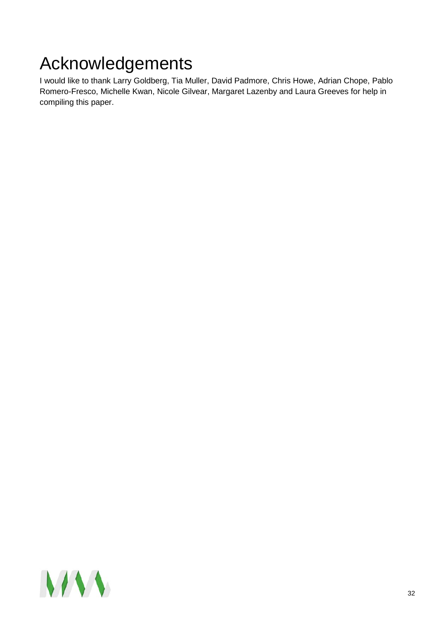# <span id="page-31-0"></span>Acknowledgements

I would like to thank Larry Goldberg, Tia Muller, David Padmore, Chris Howe, Adrian Chope, Pablo Romero-Fresco, Michelle Kwan, Nicole Gilvear, Margaret Lazenby and Laura Greeves for help in compiling this paper.

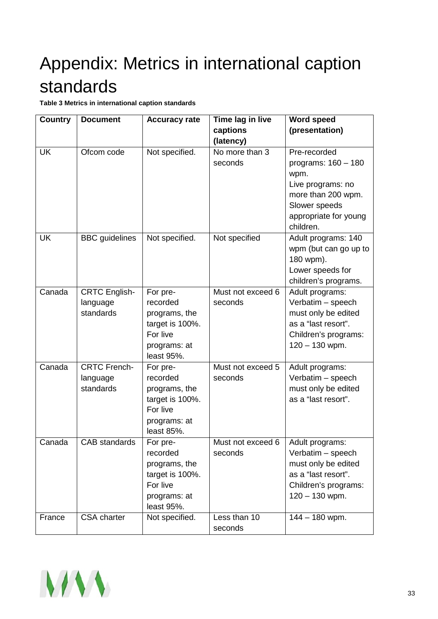# <span id="page-32-0"></span>Appendix: Metrics in international caption standards

**Table 3 Metrics in international caption standards**

| <b>Country</b> | <b>Document</b>                               | <b>Accuracy rate</b>                                                                               | Time lag in live<br>captions | <b>Word speed</b><br>(presentation)                                                                                                             |
|----------------|-----------------------------------------------|----------------------------------------------------------------------------------------------------|------------------------------|-------------------------------------------------------------------------------------------------------------------------------------------------|
|                |                                               |                                                                                                    | (latency)                    |                                                                                                                                                 |
| <b>UK</b>      | Ofcom code                                    | Not specified.                                                                                     | No more than 3<br>seconds    | Pre-recorded<br>programs: $160 - 180$<br>wpm.<br>Live programs: no<br>more than 200 wpm.<br>Slower speeds<br>appropriate for young<br>children. |
| <b>UK</b>      | <b>BBC</b> guidelines                         | Not specified.                                                                                     | Not specified                | Adult programs: 140<br>wpm (but can go up to<br>180 wpm).<br>Lower speeds for<br>children's programs.                                           |
| Canada         | <b>CRTC English-</b><br>language<br>standards | For pre-<br>recorded<br>programs, the<br>target is 100%.<br>For live<br>programs: at<br>least 95%. | Must not exceed 6<br>seconds | Adult programs:<br>Verbatim - speech<br>must only be edited<br>as a "last resort".<br>Children's programs:<br>$120 - 130$ wpm.                  |
| Canada         | <b>CRTC French-</b><br>language<br>standards  | For pre-<br>recorded<br>programs, the<br>target is 100%.<br>For live<br>programs: at<br>least 85%. | Must not exceed 5<br>seconds | Adult programs:<br>Verbatim - speech<br>must only be edited<br>as a "last resort".                                                              |
| Canada         | CAB standards                                 | For pre-<br>recorded<br>programs, the<br>target is 100%.<br>For live<br>programs: at<br>least 95%. | Must not exceed 6<br>seconds | Adult programs:<br>Verbatim - speech<br>must only be edited<br>as a "last resort".<br>Children's programs:<br>$120 - 130$ wpm.                  |
| France         | <b>CSA</b> charter                            | Not specified.                                                                                     | Less than 10<br>seconds      | $144 - 180$ wpm.                                                                                                                                |

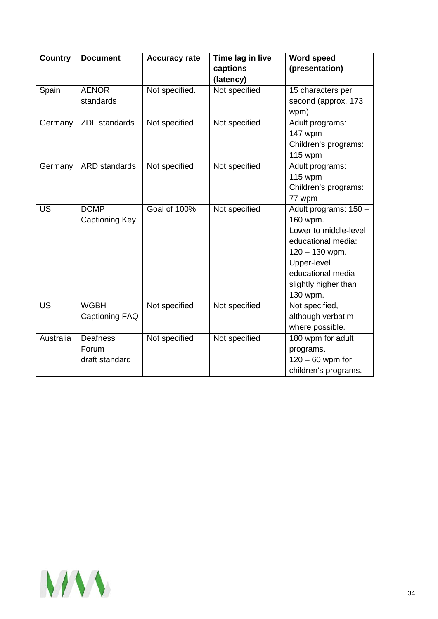| <b>Country</b> | <b>Document</b>                            | <b>Accuracy rate</b> | Time lag in live<br>captions<br>(latency) | <b>Word speed</b><br>(presentation)                                                                                                                                          |
|----------------|--------------------------------------------|----------------------|-------------------------------------------|------------------------------------------------------------------------------------------------------------------------------------------------------------------------------|
| Spain          | <b>AENOR</b><br>standards                  | Not specified.       | Not specified                             | 15 characters per<br>second (approx. 173<br>wpm).                                                                                                                            |
| Germany        | <b>ZDF</b> standards                       | Not specified        | Not specified                             | Adult programs:<br>147 wpm<br>Children's programs:<br>115 wpm                                                                                                                |
| Germany        | ARD standards                              | Not specified        | Not specified                             | Adult programs:<br><b>115 wpm</b><br>Children's programs:<br>77 wpm                                                                                                          |
| <b>US</b>      | <b>DCMP</b><br>Captioning Key              | Goal of 100%.        | Not specified                             | Adult programs: 150 -<br>160 wpm.<br>Lower to middle-level<br>educational media:<br>$120 - 130$ wpm.<br>Upper-level<br>educational media<br>slightly higher than<br>130 wpm. |
| <b>US</b>      | <b>WGBH</b><br>Captioning FAQ              | Not specified        | Not specified                             | Not specified,<br>although verbatim<br>where possible.                                                                                                                       |
| Australia      | <b>Deafness</b><br>Forum<br>draft standard | Not specified        | Not specified                             | 180 wpm for adult<br>programs.<br>$120 - 60$ wpm for<br>children's programs.                                                                                                 |